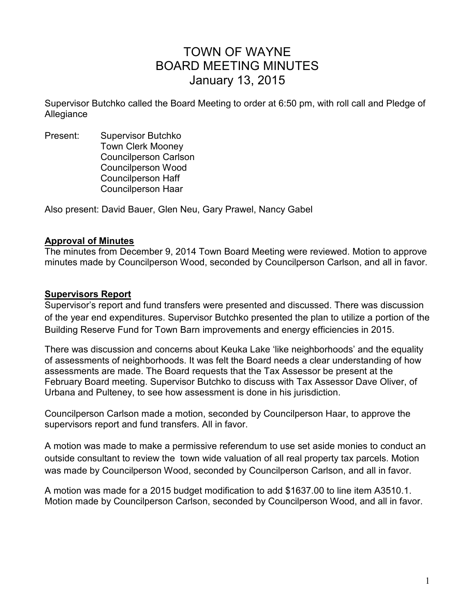# TOWN OF WAYNE BOARD MEETING MINUTES January 13, 2015

Supervisor Butchko called the Board Meeting to order at 6:50 pm, with roll call and Pledge of Allegiance

Present: Supervisor Butchko Town Clerk Mooney Councilperson Carlson Councilperson Wood Councilperson Haff Councilperson Haar

Also present: David Bauer, Glen Neu, Gary Prawel, Nancy Gabel

#### **Approval of Minutes**

The minutes from December 9, 2014 Town Board Meeting were reviewed. Motion to approve minutes made by Councilperson Wood, seconded by Councilperson Carlson, and all in favor.

#### **Supervisors Report**

Supervisor's report and fund transfers were presented and discussed. There was discussion of the year end expenditures. Supervisor Butchko presented the plan to utilize a portion of the Building Reserve Fund for Town Barn improvements and energy efficiencies in 2015.

There was discussion and concerns about Keuka Lake 'like neighborhoods' and the equality of assessments of neighborhoods. It was felt the Board needs a clear understanding of how assessments are made. The Board requests that the Tax Assessor be present at the February Board meeting. Supervisor Butchko to discuss with Tax Assessor Dave Oliver, of Urbana and Pulteney, to see how assessment is done in his jurisdiction.

Councilperson Carlson made a motion, seconded by Councilperson Haar, to approve the supervisors report and fund transfers. All in favor.

A motion was made to make a permissive referendum to use set aside monies to conduct an outside consultant to review the town wide valuation of all real property tax parcels. Motion was made by Councilperson Wood, seconded by Councilperson Carlson, and all in favor.

A motion was made for a 2015 budget modification to add \$1637.00 to line item A3510.1. Motion made by Councilperson Carlson, seconded by Councilperson Wood, and all in favor.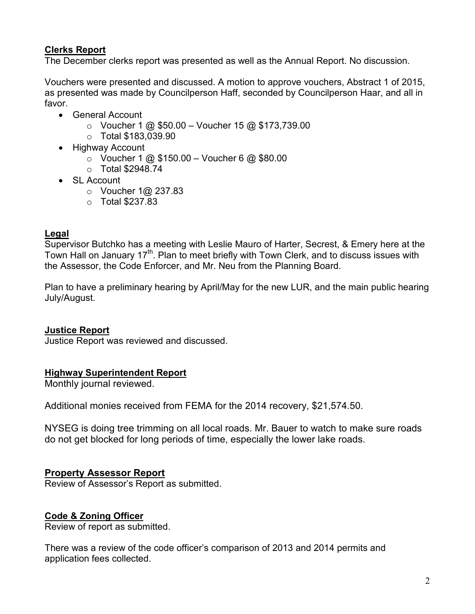# **Clerks Report**

The December clerks report was presented as well as the Annual Report. No discussion.

Vouchers were presented and discussed. A motion to approve vouchers, Abstract 1 of 2015, as presented was made by Councilperson Haff, seconded by Councilperson Haar, and all in favor.

- General Account
	- $\circ$  Voucher 1 @ \$50.00 Voucher 15 @ \$173,739.00
	- o Total \$183,039.90
- Highway Account
	- $\circ$  Voucher 1 @ \$150.00 Voucher 6 @ \$80.00
	- o Total \$2948.74
- SL Account
	- o Voucher 1@ 237.83
	- $\circ$  Total \$237.83

## **Legal**

Supervisor Butchko has a meeting with Leslie Mauro of Harter, Secrest, & Emery here at the Town Hall on January 17<sup>th</sup>. Plan to meet briefly with Town Clerk, and to discuss issues with the Assessor, the Code Enforcer, and Mr. Neu from the Planning Board.

Plan to have a preliminary hearing by April/May for the new LUR, and the main public hearing July/August.

## **Justice Report**

Justice Report was reviewed and discussed.

## **Highway Superintendent Report**

Monthly journal reviewed.

Additional monies received from FEMA for the 2014 recovery, \$21,574.50.

NYSEG is doing tree trimming on all local roads. Mr. Bauer to watch to make sure roads do not get blocked for long periods of time, especially the lower lake roads.

## **Property Assessor Report**

Review of Assessor's Report as submitted.

## **Code & Zoning Officer**

Review of report as submitted.

There was a review of the code officer's comparison of 2013 and 2014 permits and application fees collected.